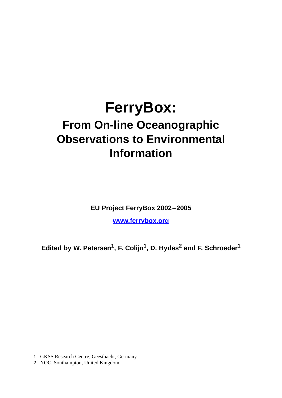# **FerryBox: From On-line Oceanographic Observations to Environmental Information**

**EU Project FerryBox 2002–2005**

**www.ferrybox.org**

Edited by W. Petersen<sup>1</sup>, F. Colijn<sup>1</sup>, D. Hydes<sup>2</sup> and F. Schroeder<sup>1</sup>

<sup>1.</sup> GKSS Research Centre, Geesthacht, Germany

<sup>2.</sup> NOC, Southampton, United Kingdom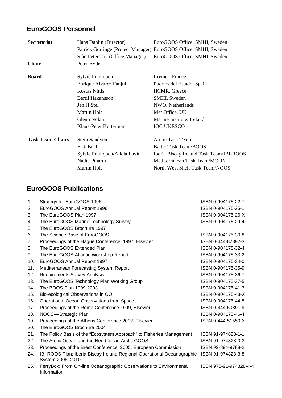### **EuroGOOS Personnel**

| <b>Secretariat</b>      | Hans Dahlin (Director)<br>Siân Petersson (Office Manager) | EuroGOOS Office, SMHI, Sweden<br>Patrick Gorringe (Project Manager) EuroGOOS Office, SMHI, Sweden<br>EuroGOOS Office, SMHI, Sweden |
|-------------------------|-----------------------------------------------------------|------------------------------------------------------------------------------------------------------------------------------------|
| <b>Chair</b>            | Peter Ryder                                               |                                                                                                                                    |
| <b>Board</b>            | Sylvie Pouliquen                                          | Ifremer, France                                                                                                                    |
|                         | Enrique Alvarez Fanjul                                    | Puertos del Estado, Spain                                                                                                          |
|                         | <b>Kostas Nittis</b>                                      | HCMR, Greece                                                                                                                       |
|                         | Bertil Håkansson                                          | SMHI, Sweden                                                                                                                       |
|                         | Jan H Stel                                                | NWO, Netherlands                                                                                                                   |
|                         | Martin Holt                                               | Met Office, UK                                                                                                                     |
|                         | Glenn Nolan                                               | Marine Institute, Ireland                                                                                                          |
|                         | Klaus-Peter Kolterman                                     | <b>IOC UNESCO</b>                                                                                                                  |
| <b>Task Team Chairs</b> | <b>Stein Sandven</b>                                      | <b>Arctic Task Team</b>                                                                                                            |
|                         | Erik Buch                                                 | <b>Baltic Task Team/BOOS</b>                                                                                                       |
|                         | Sylvie Pouliquen/Alicia Lavín                             | Iberia Biscay Ireland Task Team/IBI-ROOS                                                                                           |
|                         | Nadia Pinardi                                             | Mediterranean Task Team/MOON                                                                                                       |
|                         | <b>Martin Holt</b>                                        | North West Shelf Task Team/NOOS                                                                                                    |
|                         |                                                           |                                                                                                                                    |

### **EuroGOOS Publications**

| 1.  | Strategy for EuroGOOS 1996                                                                  | ISBN 0-904175-22-7     |
|-----|---------------------------------------------------------------------------------------------|------------------------|
| 2.  | EuroGOOS Annual Report 1996                                                                 | ISBN 0-904175-25-1     |
| 3.  | The EuroGOOS Plan 1997                                                                      | ISBN 0-904175-26-X     |
| 4.  | The EuroGOOS Marine Technology Survey                                                       | ISBN 0-904175-29-4     |
| 5.  | The EuroGOOS Brochure 1997                                                                  |                        |
| 6.  | The Science Base of EuroGOOS                                                                | ISBN 0-904175-30-8     |
| 7.  | Proceedings of the Hague Conference, 1997, Elsevier                                         | ISBN 0-444-82892-3     |
| 8.  | The EuroGOOS Extended Plan                                                                  | ISBN 0-904175-32-4     |
| 9.  | The EuroGOOS Atlantic Workshop Report                                                       | ISBN 0-904175-33-2     |
| 10. | EuroGOOS Annual Report 1997                                                                 | ISBN 0-904175-34-0     |
| 11. | Mediterranean Forecasting System Report                                                     | ISBN 0-904175-35-9     |
| 12. | <b>Requirements Survey Analysis</b>                                                         | ISBN 0-904175-36-7     |
| 13. | The EuroGOOS Technology Plan Working Group                                                  | ISBN 0-904175-37-5     |
| 14. | The BOOS Plan 1999-2003                                                                     | ISBN 0-904175-41-3     |
| 15. | Bio-ecological Observations in OO                                                           | ISBN 0-904175-43-X     |
| 16. | Operational Ocean Observations from Space                                                   | ISBN 0-904175-44-8     |
| 17. | Proceedings of the Rome Conference 1999, Elsevier                                           | ISBN 0-444-50391-9     |
| 18. | NOOS-Strategic Plan                                                                         | ISBN 0-904175-46-4     |
| 19. | Proceedings of the Athens Conference 2002, Elsevier                                         | ISBN 0-444-51550-X     |
| 20. | The EuroGOOS Brochure 2004                                                                  |                        |
| 21. | The Policy Basis of the "Ecosystem Approach" to Fisheries Management                        | ISBN 91-974828-1-1     |
| 22. | The Arctic Ocean and the Need for an Arctic GOOS                                            | ISBN 91-974828-0-3     |
| 23. | Proceedings of the Brest Conference, 2005, European Commission                              | ISBN 92-894-9788-2     |
| 24. | IBI-ROOS Plan: Iberia Biscay Ireland Regional Operational Oceanographic<br>System 2006-2010 | ISBN 91-974828-3-8     |
| 25. | FerryBox: From On-line Oceanographic Observations to Environmental<br>Information           | ISBN 978-91-974828-4-4 |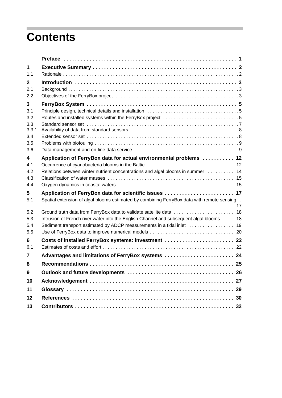## **Contents**

| 1                                 |                                                                                                                                                                                                                                        |  |
|-----------------------------------|----------------------------------------------------------------------------------------------------------------------------------------------------------------------------------------------------------------------------------------|--|
| 1.1                               |                                                                                                                                                                                                                                        |  |
| $\mathbf{2}$                      |                                                                                                                                                                                                                                        |  |
| 2.1<br>2.2                        |                                                                                                                                                                                                                                        |  |
| 3                                 |                                                                                                                                                                                                                                        |  |
| 3.1<br>3.2                        |                                                                                                                                                                                                                                        |  |
| 3.3<br>3.3.1<br>3.4<br>3.5<br>3.6 |                                                                                                                                                                                                                                        |  |
| 4                                 | Application of FerryBox data for actual environmental problems  12                                                                                                                                                                     |  |
| 4.1<br>4.2<br>4.3<br>4.4          | Relations between winter nutrient concentrations and algal blooms in summer 14                                                                                                                                                         |  |
| 5<br>5.1                          | Application of FerryBox data for scientific issues  17<br>Spatial extension of algal blooms estimated by combining FerryBox data with remote sensing.                                                                                  |  |
| 5.2<br>5.3<br>5.4<br>5.5          | Ground truth data from FerryBox data to validate satellite data 18<br>Intrusion of French river water into the English Channel and subsequent algal blooms 18<br>Sediment transport estimated by ADCP measurements in a tidal inlet 19 |  |
| 6                                 | Costs of installed FerryBox systems: investment  22                                                                                                                                                                                    |  |
| 6.1                               |                                                                                                                                                                                                                                        |  |
| 7                                 | Advantages and limitations of FerryBox systems  24                                                                                                                                                                                     |  |
| 8                                 |                                                                                                                                                                                                                                        |  |
| 9                                 |                                                                                                                                                                                                                                        |  |
| 10                                |                                                                                                                                                                                                                                        |  |
| 11                                |                                                                                                                                                                                                                                        |  |
| 12                                |                                                                                                                                                                                                                                        |  |
| 13                                |                                                                                                                                                                                                                                        |  |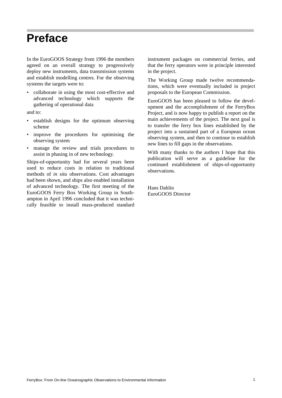### **Preface**

In the EuroGOOS Strategy from 1996 the members agreed on an overall strategy to progressively deploy new instruments, data transmission systems and establish modelling centres. For the observing systems the targets were to:

• collaborate in using the most cost-effective and advanced technology which supports the gathering of operational data

and to:

- establish designs for the optimum observing scheme
- improve the procedures for optimising the observing system
- manage the review and trials procedures to assist in phasing in of new technology.

Ships-of-opportunity had for several years been used to reduce costs in relation to traditional methods of *in situ* observations. Cost advantages had been shown, and ships also enabled installation of advanced technology. The first meeting of the EuroGOOS Ferry Box Working Group in Southampton in April 1996 concluded that it was technically feasible to install mass-produced standard instrument packages on commercial ferries, and that the ferry operators were in principle interested in the project.

The Working Group made twelve recommendations, which were eventually included in project proposals to the European Commission.

EuroGOOS has been pleased to follow the development and the accomplishment of the FerryBox Project, and is now happy to publish a report on the main achievements of the project. The next goal is to transfer the ferry box lines established by the project into a sustained part of a European ocean observing system, and then to continue to establish new lines to fill gaps in the observations.

With many thanks to the authors I hope that this publication will serve as a guideline for the continued establishment of ships-of-opportunity observations.

Hans Dahlin EuroGOOS Director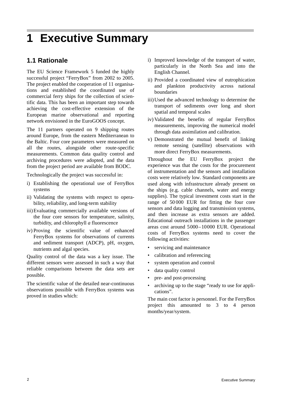# **1 Executive Summary**

### **1.1 Rationale**

The EU Science Framework 5 funded the highly successful project "FerryBox" from 2002 to 2005. The project enabled the cooperation of 11 organisations and established the coordinated use of commercial ferry ships for the collection of scientific data. This has been an important step towards achieving the cost-effective extension of the European marine observational and reporting network envisioned in the EuroGOOS concept.

The 11 partners operated on 9 shipping routes around Europe, from the eastern Mediterranean to the Baltic. Four core parameters were measured on all the routes, alongside other route-specific measurements. Common data quality control and archiving procedures were adopted, and the data from the project period are available from BODC.

Technologically the project was successful in:

- i) Establishing the operational use of FerryBox systems
- ii) Validating the systems with respect to operability, reliability, and long-term stability
- iii)Evaluating commercially available versions of the four core sensors for temperature, salinity, turbidity, and chlorophyll *a* fluorescence
- iv) Proving the scientific value of enhanced FerryBox systems for observations of currents and sediment transport (ADCP), pH, oxygen, nutrients and algal species.

Quality control of the data was a key issue. The different sensors were assessed in such a way that reliable comparisons between the data sets are possible.

The scientific value of the detailed near-continuous observations possible with FerryBox systems was proved in studies which:

- i) Improved knowledge of the transport of water, particularly in the North Sea and into the English Channel.
- ii) Provided a coordinated view of eutrophication and plankton productivity across national boundaries
- iii)Used the advanced technology to determine the transport of sediments over long and short spatial and temporal scales
- iv) Validated the benefits of regular FerryBox measurements, improving the numerical model through data assimilation and calibration.
- v) Demonstrated the mutual benefit of linking remote sensing (satellite) observations with more direct FerryBox measurements.

Throughout the EU FerryBox project the experience was that the costs for the procurement of instrumentation and the sensors and installation costs were relatively low. Standard components are used along with infrastructure already present on the ships (e.g. cable channels, water and energy supplies). The typical investment costs start in the range of 50 000 EUR for fitting the four core sensors and data logging and transmission systems, and then increase as extra sensors are added. Educational outreach installations in the passenger areas cost around 5000–10000 EUR. Operational costs of FerryBox systems need to cover the following activities:

- servicing and maintenance
- calibration and referencing
- system operation and control
- data quality control
- pre- and post-processing
- archiving up to the stage "ready to use for applications".

The main cost factor is personnel. For the FerryBox project this amounted to 3 to 4 person months/year/system.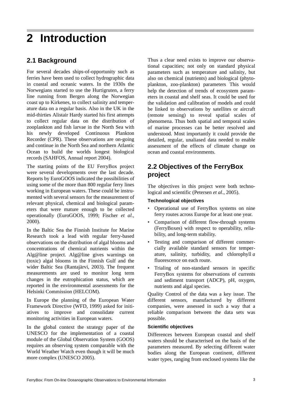# **2 Introduction**

### **2.1 Background**

For several decades ships-of-opportunity such as ferries have been used to collect hydrographic data in coastal and oceanic waters. In the 1930s the Norwegians started to use the Hurtigruten, a ferry line running from Bergen along the Norwegian coast up to Kirkenes, to collect salinity and temperature data on a regular basis. Also in the UK in the mid-thirties Alistair Hardy started his first attempts to collect regular data on the distribution of zooplankton and fish larvae in the North Sea with his newly developed Continuous Plankton Recorder (CPR). These observations are on-going and continue in the North Sea and northern Atlantic Ocean to build the worlds longest biological records (SAHFOS, Annual report 2004).

The starting points of the EU FerryBox project were several developments over the last decade. Reports by EuroGOOS indicated the possibilities of using some of the more than 800 regular ferry lines working in European waters. These could be instrumented with several sensors for the measurement of relevant physical, chemical and biological parameters that were mature enough to be collected operationally (EuroGOOS, 1999; Fischer *et al*., 2000).

In the Baltic Sea the Finnish Institute for Marine Research took a lead with regular ferry-based observations on the distribution of algal blooms and concentrations of chemical nutrients within the Alg@line project. Alg@line gives warnings on (toxic) algal blooms in the Finnish Gulf and the wider Baltic Sea (Rantajärvi, 2003). The frequent measurements are used to monitor long term changes in the eutrophication status, which are reported in the environmental assessments for the Helsinki Commission (HELCOM).

In Europe the planning of the European Water Framework Directive (WFD, 1999) asked for initiatives to improve and consolidate current monitoring activities in European waters.

In the global context the strategy paper of the UNESCO for the implementation of a coastal module of the Global Observation System (GOOS) requires an observing system comparable with the World Weather Watch even though it will be much more complex (UNESCO 2005).

Thus a clear need exists to improve our observational capacities; not only on standard physical parameters such as temperature and salinity, but also on chemical (nutrients) and biological (phytoplankton, zoo-plankton) parameters This would help the detection of trends of ecosystem parameters in coastal and shelf seas. It could be used for the validation and calibration of models and could be linked to observations by satellites or aircraft (remote sensing) to reveal spatial scales of phenomena. Thus both spatial and temporal scales of marine processes can be better resolved and understood. Most importantly it could provide the detailed, regular, unaliased data needed to enable assessment of the effects of climate change on ocean and coastal environments.

#### **2.2 Objectives of the FerryBox project**

The objectives in this project were both technological and scientific (Petersen *et al*., 2005).

#### **Technological objectives**

- Operational use of FerryBox systems on nine ferry routes across Europe for at least one year.
- Comparison of different flow-through systems (FerryBoxes) with respect to operability, reliability, and long-term stability.
- Testing and comparison of different commercially available standard sensors for temperature, salinity, turbidity, and chlorophyll *a* fluorescence on each route.
- Trialing of non-standard sensors in specific FerryBox systems for observations of currents and sediment transport (ADCP), pH, oxygen, nutrients and algal species.

Quality Control of the data was a key issue. The different sensors, manufactured by different companies, were assessed in such a way that a reliable comparison between the data sets was possible.

#### **Scientific objectives**

Differences between European coastal and shelf waters should be characterised on the basis of the parameters measured. By selecting different water bodies along the European continent, different water types, ranging from enclosed systems like the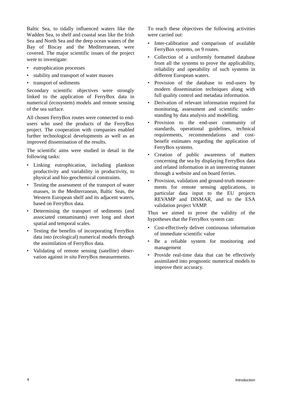Baltic Sea, to tidally influenced waters like the Wadden Sea, to shelf and coastal seas like the Irish Sea and North Sea and the deep ocean waters of the Bay of Biscay and the Mediterranean, were covered. The major scientific issues of the project were to investigate:

- eutrophication processes
- stability and transport of water masses
- transport of sediments

Secondary scientific objectives were strongly linked to the application of FerryBox data in numerical (ecosystem) models and remote sensing of the sea surface.

All chosen FerryBox routes were connected to endusers who used the products of the FerryBox project. The cooperation with companies enabled further technological developments as well as an improved dissemination of the results.

The scientific aims were studied in detail in the following tasks:

- Linking eutrophication, including plankton productivity and variability in productivity, to physical and bio-geochemical constraints.
- Testing the assessment of the transport of water masses, in the Mediterranean, Baltic Seas, the Western European shelf and its adjacent waters, based on FerryBox data.
- Determining the transport of sediments (and associated contaminants) over long and short spatial and temporal scales.
- Testing the benefits of incorporating FerryBox data into (ecological) numerical models through the assimilation of FerryBox data.
- Validating of remote sensing (satellite) observation against *in situ* FerryBox measurements.

To reach these objectives the following activities were carried out:

- Inter-calibration and comparison of available FerryBox systems, on 9 routes.
- Collection of a uniformly formatted database from all the systems to prove the applicability, reliability and operability of such systems in different European waters.
- Provision of the database to end-users by modern dissemination techniques along with full quality control and metadata information.
- Derivation of relevant information required for monitoring, assessment and scientific understanding by data analysis and modelling.
- Provision to the end-user community of standards, operational guidelines, technical requirements, recommendations and costbenefit estimates regarding the application of FerryBox systems.
- Creation of public awareness of matters concerning the sea by displaying FerryBox data and related information in an interesting manner through a website and on board ferries.
- Provision, validation and ground-truth measurements for remote sensing applications, in particular data input to the EU projects REVAMP and DISMAR, and to the ESA validation project VAMP.

Thus we aimed to prove the validity of the hypotheses that the FerryBox system can:

- Cost-effectively deliver continuous information of immediate scientific value
- Be a reliable system for monitoring and management
- Provide real-time data that can be effectively assimilated into prognostic numerical models to improve their accuracy.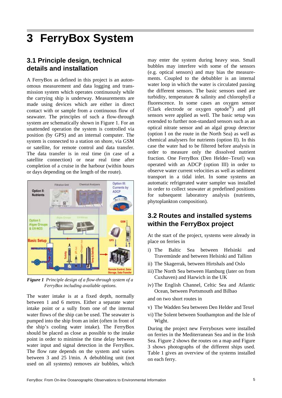### **3 FerryBox System**

#### **3.1 Principle design, technical details and installation**

A FerryBox as defined in this project is an autonomous measurement and data logging and transmission system which operates continuously while the carrying ship is underway. Measurements are made using devices which are either in direct contact with or sample from a continuous flow of seawater. The principles of such a flow-through system are schematically shown in Figure 1. For an unattended operation the system is controlled via position (by GPS) and an internal computer. The system is connected to a station on shore, via GSM or satellite, for remote control and data transfer. The data transfer is in real time (in case of a satellite connection) or near real time after completion of a cruise in the harbour (within hours or days depending on the length of the route).



*Figure 1 Principle design of a flow-through system of a FerryBox including available options.*

The water intake is at a fixed depth, normally between 1 and 6 metres. Either a separate water intake point or a sully from one of the internal water flows of the ship can be used. The seawater is pumped into the ship from an inlet (often in front of the ship's cooling water intake). The FerryBox should be placed as close as possible to the intake point in order to minimise the time delay between water input and signal detection in the FerryBox. The flow rate depends on the system and varies between 3 and 25 l/min. A debubbling unit (not used on all systems) removes air bubbles, which may enter the system during heavy seas. Small bubbles may interfere with some of the sensors (e.g. optical sensors) and may bias the measurements. Coupled to the debubbler is an internal water loop in which the water is circulated passing the different sensors. The basic sensors used are turbidity, temperature & salinity and chlorophyll *a* fluorescence. In some cases an oxygen sensor (Clark electrode or oxygen optode®) and pH sensors were applied as well. The basic setup was extended to further non-standard sensors such as an optical nitrate sensor and an algal group detector (option I on the route in the North Sea) as well as chemical analysers for nutrients (option II). In this case the water had to be filtered before analysis in order to measure only the dissolved nutrient fraction. One FerryBox (Den Helder–Texel) was operated with an ADCP (option III) in order to observe water current velocities as well as sediment transport in a tidal inlet. In some systems an automatic refrigerated water sampler was installed in order to collect seawater at predefined positions for subsequent laboratory analysis (nutrients, phytoplankton composition).

#### **3.2 Routes and installed systems within the FerryBox project**

At the start of the project, systems were already in place on ferries in

- i) The Baltic Sea between Helsinki and Travemünde and between Helsinki and Tallinn
- ii) The Skagerrak, between Hirtshals and Oslo
- iii)The North Sea between Hamburg (later on from Cuxhaven) and Harwich in the UK
- iv) The English Channel, Celtic Sea and Atlantic Ocean, between Portsmouth and Bilbao

and on two short routes in

- v) The Wadden Sea between Den Helder and Texel
- vi) The Solent between Southampton and the Isle of Wight.

During the project new Ferryboxes were installed on ferries in the Mediterranean Sea and in the Irish Sea. Figure 2 shows the routes on a map and Figure 3 shows photographs of the different ships used. Table 1 gives an overview of the systems installed on each ferry.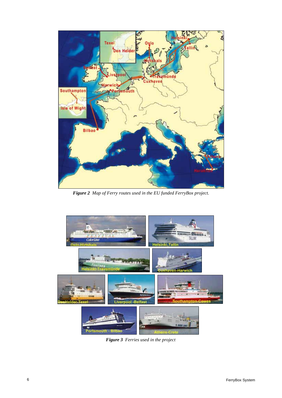

*Figure 2 Map of Ferry routes used in the EU funded FerryBox project.*



*Figure 3 Ferries used in the project*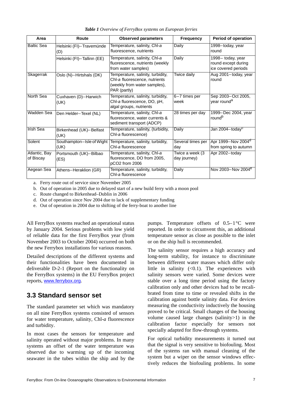| Area                       | Route                             | <b>Observed parameters</b>                                                                                         | <b>Frequency</b>                | <b>Period of operation</b>                                      |
|----------------------------|-----------------------------------|--------------------------------------------------------------------------------------------------------------------|---------------------------------|-----------------------------------------------------------------|
| <b>Baltic Sea</b>          | Helsinki (FI)-Travemünde<br>(D)   | Temperature, salinity, Chl-a<br>fluorescence, nutrients                                                            | Daily                           | 1998-today, year<br>round                                       |
|                            | Helsinki (FI)-Tallinn (EE)        | Temperature, salinity, Chl-a<br>fluorescence, nutrients (weekly<br>from water samples)                             | <b>Daily</b>                    | 1998- today, year<br>round except during<br>ice covered periods |
| Skagerrak                  | Oslo (N)-Hirtshals (DK)           | Temperature, salinity, turbidity,<br>Chl-a fluorescence, nutrients<br>(weekly from water samples),<br>PAR (partly) | Twice daily                     | Aug 2001-today, year<br>round                                   |
| North Sea                  | Cuxhaven (D)-Harwich<br>(UK)      | Temperature, salinity, turbidity,<br>Chl-a fluorescence, DO, pH,<br>algal groups, nutrients                        | 6-7 times per<br>week           | Sep 2003-Oct 2005,<br>year round <sup>a</sup>                   |
| Wadden Sea                 | Den Helder-Texel (NL)             | Temperature, salinity, Chl-a<br>fluorescence, water currents &<br>sediment transport (ADCP)                        | 28 times per day                | 1999-Dec 2004, year<br>round <sup>b</sup>                       |
| Irish Sea                  | Birkenhead (UK)-Belfast<br>(UK)   | Temperature, salinity, (turbidity,<br>Chl-a fluorescence)                                                          | Daily                           | Jan 2004-today <sup>c</sup>                                     |
| Solent                     | Southampton-Isle of Wight<br>(UK) | Temperature, salinity, turbidity,<br>Chl-a fluorescence                                                            | Several times per<br>day        | Apr 1999-Nov 2004 <sup>d</sup><br>from spring to autumn         |
| Atlantic, Bay<br>of Biscay | Portsmouth (UK)-Bilbao<br>(ES)    | Temperature, salinity, Chl-a<br>fluorescence, DO from 2005,<br>pCO2 from 2006                                      | Twice a week (3<br>day journey) | Apr 2002-today                                                  |
| Aegean Sea                 | Athens-Heraklion (GR)             | Temperature, salinity, turbidity,<br>Chl-a fluorescence                                                            | Daily                           | Nov 2003-Nov 2004 <sup>e</sup>                                  |

*Table 1 Overview of FerryBox systems on European ferries*

a. Ferry route out of service since November 2005

b. Out of operation in 2005 due to delayed start of a new build ferry with a moon pool

c. Route changed to Birkenhead–Dublin in 2006

d. Out of operation since Nov 2004 due to lack of supplementary funding

e. Out of operation in 2004 due to shifting of the ferry-boat to another line

All FerryBox systems reached an operational status by January 2004. Serious problems with low yield of reliable data for the first FerryBox year (from November 2003 to October 2004) occurred on both the new Ferrybox installations for various reasons.

Detailed descriptions of the different systems and their functionalities have been documented in deliverable D-2-1 (Report on the functionality on the FerryBox systems) in the EU FerryBox project reports, www.ferrybox.org.

#### **3.3 Standard sensor set**

The standard parameter set which was mandatory on all nine FerryBox systems consisted of sensors for water temperature, salinity, Chl-*a* fluorescence and turbidity.

In most cases the sensors for temperature and salinity operated without major problems. In many systems an offset of the water temperature was observed due to warming up of the incoming seawater in the tubes within the ship and by the

pumps. Temperature offsets of  $0.5-1$ °C were reported. In order to circumvent this, an additional temperature sensor as close as possible to the inlet or on the ship hull is recommended.

The salinity sensor requires a high accuracy and long-term stability, for instance to discriminate between different water masses which differ only little in salinity  $( $0.1$ ). The experiences with$ salinity sensors were varied. Some devices were stable over a long time period using the factory calibration only and other devices had to be recalibrated from time to time or revealed shifts in the calibration against bottle salinity data. For devices measuring the conductivity inductively the housing proved to be critical. Small changes of the housing volume caused large changes (salinity>1) in the calibration factor especially for sensors not specially adapted for flow-through systems.

For optical turbidity measurements it turned out that the signal is very sensitive to biofouling. Most of the systems ran with manual cleaning of the system but a wiper on the sensor windows effectively reduces the biofouling problems. In some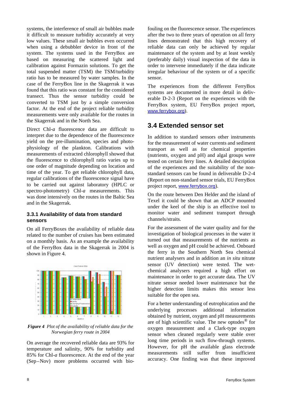systems, the interference of small air bubbles made it difficult to measure turbidity accurately at very low values. These small air bubbles even occurred when using a debubbler device in front of the system. The systems used in the FerryBox are based on measuring the scattered light and calibration against Formazin solutions. To get the total suspended matter (TSM) the TSM/turbidity ratio has to be measured by water samples. In the case of the FerryBox line in the Skagerrak it was found that this ratio was constant for the considered transect. Thus the sensor turbidity could be converted to TSM just by a simple conversion factor. At the end of the project reliable turbidity measurements were only available for the routes in the Skagerrak and in the North Sea.

Direct Chl-*a* fluorescence data are difficult to interpret due to the dependence of the fluorescence yield on the pre-illumination, species and photophysiology of the plankton. Calibrations with measurements of extracted chlorophyll showed that the fluorescence to chlorophyll ratio varies up to one order of magnitude depending on location and time of the year. To get reliable chlorophyll data, regular calibrations of the fluorescence signal have to be carried out against laboratory (HPLC or spectro-photometry) Chl-*a* measurements. This was done intensively on the routes in the Baltic Sea and in the Skagerrak.

#### **3.3.1 Availability of data from standard sensors**

On all FerryBoxes the availability of reliable data related to the number of cruises has been estimated on a monthly basis. As an example the availability of the FerryBox data in the Skagerrak in 2004 is shown in Figure 4.



*Figure 4 Plot of the availability of reliable data for the Norwegian ferry route in 2004*

On average the recovered reliable data are 93% for temperature and salinity, 90% for turbidity and 85% for Chl-*a* fluorescence. At the end of the year (Sep–Nov) more problems occurred with biofouling on the fluorescence sensor. The experiences after the two to three years of operation on all ferry lines demonstrated that this high recovery of reliable data can only be achieved by regular maintenance of the system and by at least weekly (preferably daily) visual inspection of the data in order to intervene immediately if the data indicate irregular behaviour of the system or of a specific sensor.

The experiences from the different FerryBox systems are documented in more detail in deliverable D-2-3 (Report on the experiences with the FerryBox system, EU FerryBox project report, www.ferrybox.org).

#### **3.4 Extended sensor set**

In addition to standard sensors other instruments for the measurement of water currents and sediment transport as well as for chemical properties (nutrients, oxygen and pH) and algal groups were tested on certain ferry lines. A detailed description of the experiences and the suitability of the nonstandard sensors can be found in deliverable D-2-4 (Report on non-standard sensor trials, EU FerryBox project report, www.ferrybox.org).

On the route between Den Helder and the island of Texel it could be shown that an ADCP mounted under the keel of the ship is an effective tool to monitor water and sediment transport through channels/straits.

For the assessment of the water quality and for the investigation of biological processes in the water it turned out that measurements of the nutrients as well as oxygen and pH could be achieved. Onboard the ferry in the Southern North Sea chemical nutrient analysers and in addition an *in situ* nitrate sensor (UV detection) were tested. The wetchemical analysers required a high effort on maintenance in order to get accurate data. The UV nitrate sensor needed lower maintenance but the higher detection limits makes this sensor less suitable for the open sea.

For a better understanding of eutrophication and the underlying processes additional information obtained by nutrient, oxygen and pH measurements are of high scientific value. The new optodes $^{\circledR}$  for oxygen measurement and a Clark-type oxygen sensor when cleaned regularly were stable over long time periods in such flow-through systems. However, for pH the available glass electrode measurements still suffer from insufficient accuracy. One finding was that these improved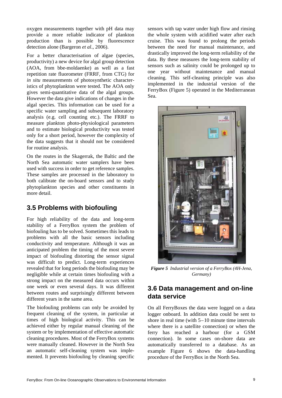oxygen measurements together with pH data may provide a more reliable indicator of plankton production than is possible by fluorescence detection alone (Bargeron *et al*., 2006).

For a better characterisation of algae (species, productivity) a new device for algal group detection (AOA, from bbe-moldaenke) as well as a fast repetition rate fluorometer (FRRF, from CTG) for *in situ* measurements of photosynthetic characteristics of phytoplankton were tested. The AOA only gives semi-quantitative data of the algal groups. However the data give indications of changes in the algal species. This information can be used for a specific water sampling and subsequent laboratory analysis (e.g. cell counting etc.). The FRRF to measure plankton photo-physiological parameters and to estimate biological productivity was tested only for a short period, however the complexity of the data suggests that it should not be considered for routine analysis.

On the routes in the Skagerrak, the Baltic and the North Sea automatic water samplers have been used with success in order to get reference samples. These samples are processed in the laboratory to both calibrate the on-board sensors and to study phytoplankton species and other constituents in more detail.

#### **3.5 Problems with biofouling**

For high reliability of the data and long-term stability of a FerryBox system the problem of biofouling has to be solved. Sometimes this leads to problems with all the basic sensors including conductivity and temperature. Although it was an anticipated problem the timing of the most severe impact of biofouling distorting the sensor signal was difficult to predict. Long-term experiences revealed that for long periods the biofouling may be negligible while at certain times biofouling with a strong impact on the measured data occurs within one week or even several days. It was different between routes and surprisingly different between different years in the same area.

The biofouling problems can only be avoided by frequent cleaning of the system, in particular at times of high biological activity. This can be achieved either by regular manual cleaning of the system or by implementation of effective automatic cleaning procedures. Most of the FerryBox systems were manually cleaned. However in the North Sea an automatic self-cleaning system was implemented. It prevents biofouling by cleaning specific

sensors with tap water under high flow and rinsing the whole system with acidified water after each cruise. This was found to prolong the periods between the need for manual maintenance, and drastically improved the long-term reliability of the data. By these measures the long-term stability of sensors such as salinity could be prolonged up to one year without maintenance and manual cleaning. This self-cleaning principle was also implemented in the industrial version of the FerryBox (Figure 5) operated in the Mediterranean Sea.



*Figure 5 Industrial version of a FerryBox (4H-Jena, Germany)* 

#### **3.6 Data management and on-line data service**

On all FerryBoxes the data were logged on a data logger onboard. In addition data could be sent to shore in real time (with 5–10 minute time intervals where there is a satellite connection) or when the ferry has reached a harbour (for a GSM connection). In some cases on-shore data are automatically transferred to a database. As an example Figure 6 shows the data-handling procedure of the FerryBox in the North Sea.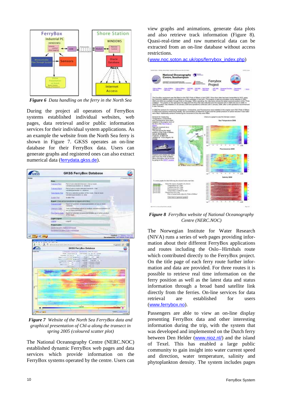

*Figure 6 Data handling on the ferry in the North Sea*

During the project all operators of FerryBox systems established individual websites, web pages, data retrieval and/or public information services for their individual system applications. As an example the website from the North Sea ferry is shown in Figure 7. GKSS operates an on-line database for their FerryBox data. Users can generate graphs and registered ones can also extract numerical data (ferrydata.gkss.de).



*Figure 7 Website of the North Sea FerryBox data and graphical presentation of Chl-a along the transect in spring 2005 (coloured scatter plot)*

The National Oceanography Centre (NERC.NOC) established dynamic FerryBox web pages and data services which provide information on the FerryBox systems operated by the centre. Users can

view graphs and animations, generate data plots and also retrieve track information (Figure 8). Quasi-real-time and raw numerical data can be extracted from an on-line database without access restrictions.

(www.noc.soton.ac.uk/ops/ferrybox\_index.php)



*Figure 8 FerryBox website of National Oceanography Centre (NERC.NOC)*

The Norwegian Institute for Water Research (NIVA) runs a series of web pages providing information about their different FerryBox applications and routes including the Oslo–Hirtshals route which contributed directly to the FerryBox project. On the title page of each ferry route further information and data are provided. For three routes it is possible to retrieve real time information on the ferry position as well as the latest data and status information through a broad band satellite link directly from the ferries. On-line services for data retrieval are established for users (www.ferrybox.no).

Passengers are able to view an on-line display presenting FerryBox data and other interesting information during the trip, with the system that was developed and implemented on the Dutch ferry between Den Helder (www.nioz.nl/) and the island of Texel. This has enabled a large public community to gain insight into water current speed and direction, water temperature, salinity and phytoplankton density. The system includes pages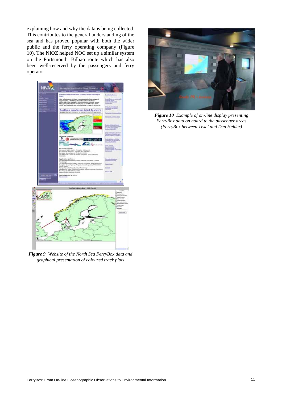explaining how and why the data is being collected. This contributes to the general understanding of the sea and has proved popular with both the wider public and the ferry operating company (Figure 10). The NIOZ helped NOC set up a similar system on the Portsmouth–Bilbao route which has also been well-received by the passengers and ferry operator.



*Figure 9 Website of the North Sea FerryBox data and graphical presentation of coloured track plots*



*Figure 10 Example of on-line display presenting FerryBox data on board to the passenger areas (FerryBox between Texel and Den Helder)*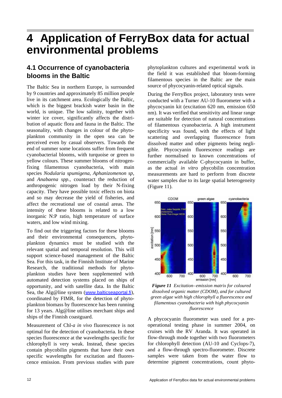### **4 Application of FerryBox data for actual environmental problems**

### **4.1 Occurrence of cyanobacteria blooms in the Baltic**

The Baltic Sea in northern Europe, is surrounded by 9 countries and approximately 85 million people live in its catchment area. Ecologically the Baltic, which is the biggest brackish water basin in the world, is unique. The low salinity, together with winter ice cover, significantly affects the distribution of aquatic flora and fauna in the Baltic. The seasonality, with changes in colour of the phytoplankton community in the open sea can be perceived even by casual observers. Towards the end of summer some locations suffer from frequent cyanobacterial blooms, with turquoise or green to yellow colours. These summer blooms of nitrogenfixing filamentous cyanobacteria, with main species *Nodularia spumigena*, *Aphanizomenon sp*, and *Anabaena spp.*, counteract the reduction of anthropogenic nitrogen load by their N-fixing capacity. They have possible toxic effects on biota and so may decrease the yield of fisheries, and affect the recreational use of coastal areas. The intensity of these blooms is related to a low inorganic N:P ratio, high temperature of surface waters, and low wind mixing.

To find out the triggering factors for these blooms and their environmental consequences, phytoplankton dynamics must be studied with the relevant spatial and temporal resolution. This will support science-based management of the Baltic Sea. For this task, in the Finnish Institute of Marine Research, the traditional methods for phytoplankton studies have been supplemented with automated detection systems placed on ships of opportunity, and with satellite data. In the Baltic Sea, the Alg@line system (www.balticseaportal.fi), coordinated by FIMR, for the detection of phytoplankton biomass by fluorescence has been running for 13 years. Alg@line utilises merchant ships and ships of the Finnish coastguard.

Measurement of Chl-*a in vivo* fluorescence is not optimal for the detection of cyanobacteria. In these species fluorescence at the wavelengths specific for chlorophyll is very weak. Instead, these species contain phycobilin pigments that have their own specific wavelengths for excitation and fluorescence emission. From previous studies with pure

phytoplankton cultures and experimental work in the field it was established that bloom-forming filamentous species in the Baltic are the main source of phycocyanin-related optical signals.

During the FerryBox project, laboratory tests were conducted with a Turner AU-10 fluorometer with a phycocyanin kit (excitation 620 nm, emission 650 nm). It was verified that sensitivity and linear range are suitable for detection of natural concentrations of filamentous cyanobacteria. A high instrument specificity was found, with the effects of light scattering and overlapping fluorescence from dissolved matter and other pigments being negligible. Phycocyanin fluorescence readings are further normalised to known concentrations of commercially available C-phycocyanin in buffer, as the actual *in vitro* phycobilin concentration measurements are hard to perform from discrete water samples due to its large spatial heterogeneity (Figure 11).



*Figure 11 Excitation–emission matrix for coloured dissolved organic matter (CDOM), and for cultured green algae with high chlorophyll a fluorescence and filamentous cyanobacteria with high phycocyanin fluorescence*

A phycocyanin fluorometer was used for a preoperational testing phase in summer 2004, on cruises with the RV Aranda. It was operated in flow-through mode together with two fluorometers for chlorophyll detection (AU-10 and Cyclops-7), and a flow-through spectro-fluorometer. Discrete samples were taken from the water flow to determine pigment concentrations, count phyto-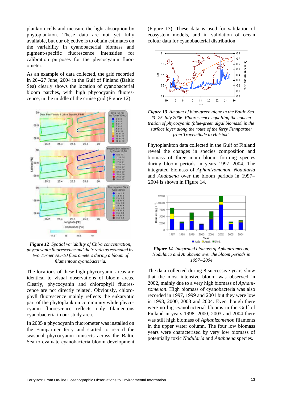plankton cells and measure the light absorption by phytoplankton. These data are not yet fully available, but our objective is to obtain estimates on the variability in cyanobacterial biomass and pigment-specific fluorescence intensities for calibration purposes for the phycocyanin fluorometer.

As an example of data collected, the grid recorded in 26–27 June, 2004 in the Gulf of Finland (Baltic Sea) clearly shows the location of cyanobacterial bloom patches, with high phycocyanin fluorescence, in the middle of the cruise grid (Figure 12).



*Figure 12 Spatial variability of Chl-a concentration, phycocyanin fluorescence and their ratio as estimated by two Turner AU-10 fluorometers during a bloom of filamentous cyanobacteria.*

The locations of these high phycocyanin areas are identical to visual observations of bloom areas. Clearly, phycocyanin and chlorophyll fluorescence are not directly related. Obviously, chlorophyll fluorescence mainly reflects the eukaryotic part of the phytoplankton community while phycocyanin fluorescence reflects only filamentous cyanobacteria in our study area.

In 2005 a phycocyanin fluorometer was installed on the Finnpartner ferry and started to record the seasonal phycocyanin transects across the Baltic Sea to evaluate cyanobacteria bloom development (Figure 13). These data is used for validation of ecosystem models, and in validation of ocean colour data for cyanobacterial distribution.



*Figure 13 Amount of blue-green algae in the Baltic Sea 23–25 July 2006. Fluorescence equalling the concentration of phycocyanin (blue-green algal biomass) in the surface layer along the route of the ferry Finnpartner from Travemünde to Helsinki.*

Phytoplankton data collected in the Gulf of Finland reveal the changes in species composition and biomass of three main bloom forming species during bloom periods in years 1997–2004. The integrated biomass of *Aphanizomenon*, *Nodularia* and *Anabaena* over the bloom periods in 1997– 2004 is shown in Figure 14.



*Figure 14 Integrated biomass of Aphanizomenon, Nodularia and Anabaena over the bloom periods in 1997–2004*

The data collected during 8 successive years show that the most intensive bloom was observed in 2002, mainly due to a very high biomass of *Aphanizomenon*. High biomass of cyanobacteria was also recorded in 1997, 1999 and 2001 but they were low in 1998, 2000, 2003 and 2004. Even though there were no big cyanobacterial blooms in the Gulf of Finland in years 1998, 2000, 2003 and 2004 there was still high biomass of *Aphanizomenon* filaments in the upper water column. The four low biomass years were characterised by very low biomass of potentially toxic *Nodularia* and *Anabaena* species.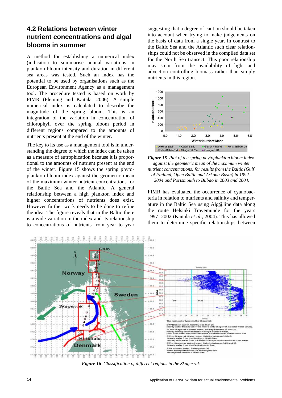#### **4.2 Relations between winter nutrient concentrations and algal blooms in summer**

A method for establishing a numerical index (indicator) to summarise annual variations in plankton bloom intensity and duration in different sea areas was tested. Such an index has the potential to be used by organisations such as the European Environment Agency as a management tool. The procedure tested is based on work by FIMR (Fleming and Kaitala, 2006). A simple numerical index is calculated to describe the magnitude of the spring bloom. This is an integration of the variation in concentration of chlorophyll over the spring bloom period in different regions compared to the amounts of nutrients present at the end of the winter.

The key to its use as a management tool is in understanding the degree to which the index can be taken as a measure of eutrophication because it is proportional to the amounts of nutrient present at the end of the winter. Figure 15 shows the spring phytoplankton bloom index against the geometric mean of the maximum winter nutrient concentrations for the Baltic Sea and the Atlantic. A general relationship between a high plankton index and higher concentrations of nutrients does exist. However further work needs to be done to refine the idea. The figure reveals that in the Baltic there is a wide variation in the index and its relationship to concentrations of nutrients from year to year suggesting that a degree of caution should be taken into account when trying to make judgements on the basis of data from a single year. In contrast to the Baltic Sea and the Atlantic such clear relationships could not be observed in the compiled data set for the North Sea transect. This poor relationship may stem from the availability of light and advection controlling biomass rather than simply nutrients in this region.



*Figure 15 Plot of the spring phytoplankton bloom index against the geometric mean of the maximum winter nutrient concentrations, for results from the Baltic (Gulf of Finland, Open Baltic and Arkona Basin) in 1992– 2004 and Portsmouth to Bilbao in 2003 and 2004.*

FIMR has evaluated the occurrence of cyanobacteria in relation to nutrients and salinity and temperature in the Baltic Sea using Alg@line data along the route Helsinki–Travemünde for the years 1997–2002 (Kaitala *et al*., 2004). This has allowed them to determine specific relationships between



*Figure 16 Classification of different regions in the Skagerrak*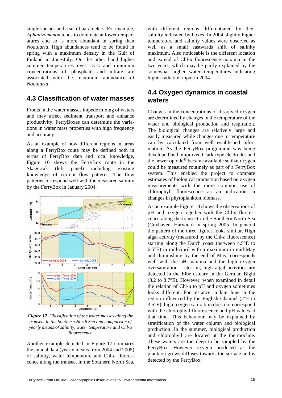single species and a set of parameters. For example, *Aphanizomenon* tends to dominate at lower temperatures and so is more abundant in spring than *Nodularia*. High abundances tend to be found in spring with a maximum density in the Gulf of Finland in June/July. On the other hand higher summer temperatures over 15<sup>o</sup>C and minimum concentrations of phosphate and nitrate are associated with the maximum abundance of *Nodularia*.

#### **4.3 Classification of water masses**

Fronts in the water masses impede mixing of waters and may affect sediment transport and enhance productivity. FerryBoxes can determine the variations in water mass properties with high frequency and accuracy.

As an example of how different regions in areas along a FerryBox route may be defined both in terms of FerryBox data and local knowledge, Figure 16 shows the FerryBox route in the Skagerrak (left panel) including existing knowledge of current flow patterns. The flow patterns correspond well with the measured salinity by the FerryBox in January 2004.



*Figure 17 Classification of the water masses along the transect in the Southern North Sea and comparison of yearly means of salinity, water temperature and Chl-a fluorescence*

Another example depicted in Figure 17 compares the annual data (yearly means from 2004 and 2005) of salinity, water temperature and Chl-*a* fluorescence along the transect in the Southern North Sea, with different regions differentiated by their salinity indicated by boxes. In 2004 slightly higher temperature and salinity values were observed as well as a small eastwards shift of salinity maximum. Also noticeable is the different location and extend of Chl-*a* fluorescence maxima in the two years, which may be partly explained by the somewhat higher water temperatures indicating higher radiation input in 2004.

#### **4.4 Oxygen dynamics in coastal waters**

Changes in the concentrations of dissolved oxygen are determined by changes in the temperature of the water and biological production and respiration. The biological changes are relatively large and easily measured while changes due to temperature can by calculated from well established information. As the FerryBox programme was being developed both improved Clark-type electrodes and the newer optode® became available so that oxygen could be measured routinely as part of a FerryBox system. This enabled the project to compare estimates of biological production based on oxygen measurements with the more common use of chlorophyll fluorescence as an indication in changes in phytoplankton biomass.

As an example Figure 18 shows the observations of pH and oxygen together with the Chl-*a* fluorescence along the transect in the Southern North Sea (Cuxhaven–Harwich) in spring 2005. In general the pattern of the three figures looks similar. High algal activity (measured by the Chl-*a* fluorescence) starting along the Dutch coast (between 4.5°E to 6.5°E) in mid-April with a maximum in mid-May and diminishing by the end of May, corresponds well with the pH maxima and the high oxygen oversaturation. Later on, high algal activities are detected in the Elbe estuary in the German Bight (8.2 to 8.7°E). However, when examined in detail the relation of Chl-*a* to pH and oxygen sometimes looks different. For instance in late June in the region influenced by the English Channel (2°E to 3.5°E), high oxygen saturation does not correspond with the chlorophyll fluorescence and pH values at that time. This behaviour may be explained by stratification of the water column and biological production. In the summer, biological production and chlorophyll are located at the thermocline. These waters are too deep to be sampled by the FerryBox. However oxygen produced as the plankton grows diffuses towards the surface and is detected by the FerryBox.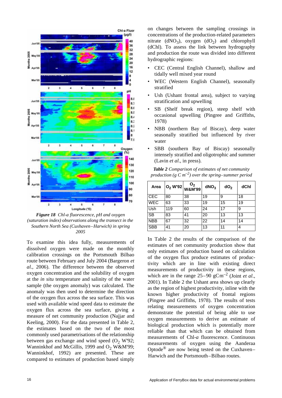

*Figure 18 Chl-a fluorescence, pH and oxygen (saturation index) observations along the transect in the Southern North Sea (Cuxhaven–Harwich) in spring 2005*

To examine this idea fully, measurements of dissolved oxygen were made on the monthly calibration crossings on the Portsmouth Bilbao route between February and July 2004 (Bargeron *et al*., 2006). The difference between the observed oxygen concentration and the solubility of oxygen at the *in situ* temperature and salinity of the water sample (the oxygen anomaly) was calculated. The anomaly was then used to determine the direction of the oxygen flux across the sea surface. This was used with available wind speed data to estimate the oxygen flux across the sea surface, giving a measure of net community production (Najjar and Keeling, 2000). For the data presented in Table 2, the estimates based on the two of the most commonly used parametrisations of the relationship between gas exchange and wind speed  $(O_2 W'92)$ ; Wanninkhof and McGillis, 1999 and  $O_2$  W&M'99; Wanninkhof, 1992) are presented. These are compared to estimates of production based simply

on changes between the sampling crossings in concentrations of the production-related parameters nitrate  $(dNO_2)$ , oxygen  $(dO_2)$  and chlorophyll (dChl). To assess the link between hydrography and production the route was divided into different hydrographic regions:

- CEC (Central English Channel), shallow and tidally well mixed year round
- WEC (Western English Channel), seasonally stratified
- Ush (Ushant frontal area), subject to varying stratification and upwelling
- SB (Shelf break region), steep shelf with occasional upwelling (Pingree and Griffiths, 1978)
- NBB (northern Bay of Biscay), deep water seasonally stratified but influenced by river water
- SBB (southern Bay of Biscay) seasonally intensely stratified and oligotrophic and summer (Lavin *et al*., in press).

*Table 2 Comparison of estimates of net community production (g C m–2) over the spring–summer period*

| Area       |     | O <sub>2</sub><br><b>O<sub>2</sub> W'92 W&amp;M'99</b> | dNO <sub>3</sub> | dO <sub>2</sub> | dChl |
|------------|-----|--------------------------------------------------------|------------------|-----------------|------|
| <b>CEC</b> | 80  | 38                                                     | 19               | 9               | 18   |
| <b>WEC</b> | 63  | 33                                                     | 19               | 15              | 19   |
| Ush        | 119 | 60                                                     | 24               | 17              | 9    |
| <b>SB</b>  | 83  | 41                                                     | 20               | 13              | 13   |
| <b>NBB</b> | 67  | 32                                                     | 22               | 14              | 14   |
| <b>SBB</b> | 41  | 20                                                     | 13               | 11              | 4    |

In Table 2 the results of the comparison of the estimates of net community production show that only estimates of production based on calculation of the oxygen flux produce estimates of productivity which are in line with existing direct measurements of productivity in these regions, which are in the range  $25-90$  gCm<sup>-2</sup> (Joint *et al.*, 2001). In Table 2 the Ushant area shows up clearly as the region of highest productivity, inline with the known higher productivity of frontal regions (Pingree and Griffiths, 1978). The results of tests relating measurements of oxygen concentration demonstrate the potential of being able to use oxygen measurements to derive an estimate of biological production which is potentially more reliable than that which can be obtained from measurements of Chl-*a* fluorescence. Continuous measurements of oxygen using the Aanderaa Optode® are now being tested on the Cuxhaven– Harwich and the Portsmouth–Bilbao routes.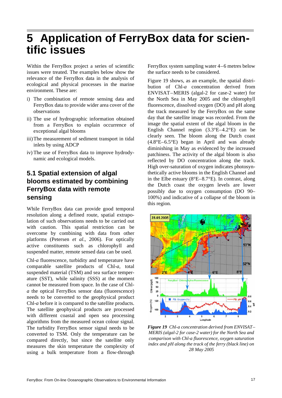### **5 Application of FerryBox data for scientific issues**

Within the FerryBox project a series of scientific issues were treated. The examples below show the relevance of the FerryBox data in the analysis of ecological and physical processes in the marine environment. These are:

- i) The combination of remote sensing data and FerryBox data to provide wider area cover of the observations
- ii) The use of hydrographic information obtained from a FerryBox to explain occurrence of exceptional algal blooms
- iii)The measurement of sediment transport in tidal inlets by using ADCP
- iv) The use of FerryBox data to improve hydrodynamic and ecological models.

### **5.1 Spatial extension of algal blooms estimated by combining FerryBox data with remote sensing**

While FerryBox data can provide good temporal resolution along a defined route, spatial extrapolation of such observations needs to be carried out with caution. This spatial restriction can be overcome by combining with data from other platforms (Petersen *et al*., 2006). For optically active constituents such as chlorophyll and suspended matter, remote sensed data can be used.

Chl-*a* fluorescence, turbidity and temperature have comparable satellite products of Chl-*a*, total suspended material (TSM) and sea surface temperature (SST), while salinity (SSS) at the moment cannot be measured from space. In the case of Chl*a* the optical FerryBox sensor data (fluorescence) needs to be converted to the geophysical product Chl-*a* before it is compared to the satellite products. The satellite geophysical products are processed with different coastal and open sea processing algorithms from the measured ocean colour signal. The turbidity FerryBox sensor signal needs to be converted to TSM. Only the temperature can be compared directly, but since the satellite only measures the skin temperature the complexity of using a bulk temperature from a flow-through FerryBox system sampling water 4–6 metres below the surface needs to be considered.

Figure 19 shows, as an example, the spatial distribution of Chl-*a* concentration derived from ENVISAT–MERIS (algal-2 for case-2 water) for the North Sea in May 2005 and the chlorophyll fluorescence, dissolved oxygen (DO) and pH along the track measured by the FerryBox on the same day that the satellite image was recorded. From the image the spatial extent of the algal bloom in the English Channel region (3.3°E–4.2°E) can be clearly seen. The bloom along the Dutch coast (4.8°E–6.5°E) began in April and was already diminishing in May as evidenced by the increased patchiness. The activity of the algal bloom is also reflected by DO concentration along the track. High over-saturation of oxygen indicates photosynthetically active blooms in the English Channel and in the Elbe estuary (8°E–8.7°E). In contrast, along the Dutch coast the oxygen levels are lower possibly due to oxygen consumption (DO 90– 100%) and indicative of a collapse of the bloom in this region.



*Figure 19 Chl-a concentration derived from ENVISAT– MERIS (algal-2 for case-2 water) for the North Sea and comparison with Chl-a fluorescence, oxygen saturation index and pH along the track of the ferry (black line) on 28 May 2005*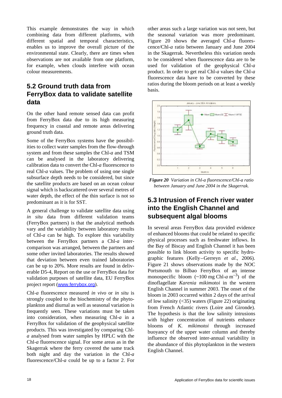This example demonstrates the way in which combining data from different platforms, with different spatial and temporal characteristics, enables us to improve the overall picture of the environmental state. Clearly, there are times when observations are not available from one platform, for example, when clouds interfere with ocean colour measurements.

### **5.2 Ground truth data from FerryBox data to validate satellite data**

On the other hand remote sensed data can profit from FerryBox data due to its high measuring frequency in coastal and remote areas delivering ground truth data.

Some of the FerryBox systems have the possibilities to collect water samples from the flow-through system and from these samples the Chl-*a* and TSM can be analysed in the laboratory delivering calibration data to convert the Chl-*a* fluorescence to real Chl-*a* values. The problem of using one single subsurface depth needs to be considered, but since the satellite products are based on an ocean colour signal which is backscattered over several metres of water depth, the effect of the thin surface is not so predominant as it is for SST.

A general challenge to validate satellite data using *in situ* data from different validation teams (FerryBox partners) is that the analytical methods vary and the variability between laboratory results of Chl-*a* can be high. To explore this variability between the FerryBox partners a Chl-*a* intercomparison was arranged, between the partners and some other invited laboratories. The results showed that deviation between even trained laboratories can be up to 20%. More results are found in deliverable D5-4, Report on the use or FerryBox data for validation purposes of satellite data, EU FerryBox project report (www.ferrybox.org).

Chl-*a* fluorescence measured *in vivo* or *in situ* is strongly coupled to the biochemistry of the phytoplankton and diurnal as well as seasonal variation is frequently seen. These variations must be taken into consideration, when measuring Chl-*a* in a FerryBox for validation of the geophysical satellite products. This was investigated by comparing Chl*a* analysed from water samples by HPLC with the Chl-*a* fluorescence signal. For some areas as in the Skagerrak where the ferry covered the same track both night and day the variation in the Chl-*a* fluorescence/Chl-*a* could be up to a factor 2. For other areas such a large variation was not seen, but the seasonal variation was more predominant. Figure 20 shows the averaged Chl-*a* fluorescence/Chl-*a* ratio between January and June 2004 in the Skagerrak. Nevertheless this variation needs to be considered when fluorescence data are to be used for validation of the geophysical Chl-*a* product. In order to get real Chl-*a* values the Chl-*a* fluorescence data have to be converted by these ratios during the bloom periods on at least a weekly basis.



*Figure 20 Variation in Chl-a fluorescence/Chl-a ratio between January and June 2004 in the Skagerrak.*

#### **5.3 Intrusion of French river water into the English Channel and subsequent algal blooms**

In several areas FerryBox data provided evidence of enhanced blooms that could be related to specific physical processes such as freshwater inflows. In the Bay of Biscay and English Channel it has been possible to link bloom activity to specific hydrographic features (Kelly–Gerreyn *et al*., 2006). Figure 21 shows observations made by the NOC Portsmouth to Bilbao FerryBox of an intense monospecific bloom  $(\sim 100 \text{ mg Ch} \cdot a \text{ m}^{-3})$  of the dinoflagellate *Karenia mikimotoi* in the western English Channel in summer 2003. The onset of the bloom in 2003 occurred within 2 days of the arrival of low salinity  $( $35$ )$  waters (Figure 22) originating from French Atlantic rivers (Loire and Gironde). The hypothesis is that the low salinity intrusions with higher concentration of nutrients enhance blooms of *K. mikimotoi* through increased buoyancy of the upper water column and thereby influence the observed inter-annual variability in the abundance of this phytoplankton in the western English Channel.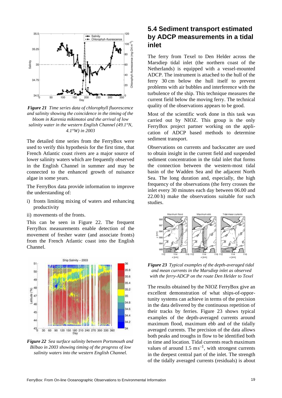

*Figure 21 Time series data of chlorophyll fluorescence and salinity showing the coincidence in the timing of the bloom in Karenia mikimotoi and the arrival of low salinity water in the western English Channel (49.1°N, 4.1°W) in 2003*

The detailed time series from the FerryBox were used to verify this hypothesis for the first time, that French Atlantic coast rivers are a major source of lower salinity waters which are frequently observed in the English Channel in summer and may be connected to the enhanced growth of nuisance algae in some years.

The FerryBox data provide information to improve the understanding of:

- i) fronts limiting mixing of waters and enhancing productivity
- ii) movements of the fronts.

This can be seen in Figure 22. The frequent FerryBox measurements enable detection of the movement of fresher water (and associate fronts) from the French Atlantic coast into the English Channel.



*Figure 22 Sea surface salinity between Portsmouth and Bilbao in 2003 showing timing of the progress of low salinity waters into the western English Channel.*

#### **5.4 Sediment transport estimated by ADCP measurements in a tidal inlet**

The ferry from Texel to Den Helder across the Marsdiep tidal inlet (the northern coast of the Netherlands) is equipped with a vessel-mounted ADCP. The instrument is attached to the hull of the ferry 30 cm below the hull itself to prevent problems with air bubbles and interference with the turbulence of the ship. This technique measures the current field below the moving ferry. The technical quality of the observations appears to be good.

Most of the scientific work done in this task was carried out by NIOZ. This group is the only FerryBox project partner working on the application of ADCP based methods to determine sediment transport.

Observations on currents and backscatter are used to obtain insight in the current field and suspended sediment concentration in the tidal inlet that forms the connection between the western-most tidal basin of the Wadden Sea and the adjacent North Sea. The long duration and, especially, the high frequency of the observations (the ferry crosses the inlet every 30 minutes each day between 06.00 and 22.00 h) make the observations suitable for such studies.



*Figure 23 Typical examples of the depth-averaged tidal and mean currents in the Marsdiep inlet as observed with the ferry-ADCP on the route Den Helder to Texel*

The results obtained by the NIOZ FerryBox give an excellent demonstration of what ships-of-opportunity systems can achieve in terms of the precision in the data delivered by the continuous repetition of their tracks by ferries. Figure 23 shows typical examples of the depth-averaged currents around maximum flood, maximum ebb and of the tidally averaged currents. The precision of the data allows both peaks and troughs in flow to be identified both in time and location. Tidal currents reach maximum values of around  $1.5 \text{ ms}^{-1}$ , with strongest currents in the deepest central part of the inlet. The strength of the tidally averaged currents (residuals) is about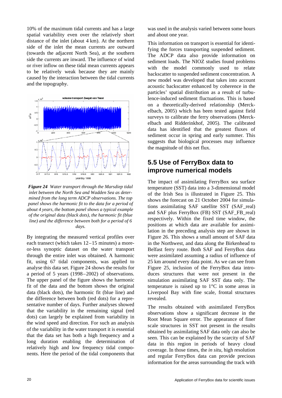10% of the maximum tidal currents and has a large spatial variability even over the relatively short distance of the inlet (about 4 km). At the northern side of the inlet the mean currents are outward (towards the adjacent North Sea), at the southern side the currents are inward. The influence of wind or river inflow on these tidal mean currents appears to be relatively weak because they are mainly caused by the interaction between the tidal currents and the topography.



*Figure 24 Water transport through the Marsdiep tidal inlet between the North Sea and Wadden Sea as determined from the long term ADCP observations. The top panel shows the harmonic fit to the data for a period of about 4 years, the bottom panel shows a typical example of the original data (black dots), the harmonic fit (blue line) and the difference between both for a period of 6 days.*

By integrating the measured vertical profiles over each transect (which takes 12–15 minutes) a moreor-less synoptic dataset on the water transport through the entire inlet was obtained. A harmonic fit, using 67 tidal components, was applied to analyse this data set. Figure 24 shows the results for a period of 5 years (1998–2002) of observations. The upper panel of the figure shows the harmonic fit of the data and the bottom shows the original data (black dots), the harmonic fit (blue line) and the difference between both (red dots) for a representative number of days. Further analyses showed that the variability in the remaining signal (red dots) can largely be explained from variability in the wind speed and direction. For such an analysis of the variability in the water transport it is essential that the data set has both a high frequency and a long duration enabling the determination of relatively high and low frequency tidal components. Here the period of the tidal components that was used in the analysis varied between some hours and about one year.

This information on transport is essential for identifying the forces transporting suspended sediment. The ADCP data also provide information on sediment loads. The NIOZ studies found problems with the model commonly used to relate backscatter to suspended sediment concentration. A new model was developed that takes into account acoustic backscatter enhanced by coherence in the particles' spatial distribution as a result of turbulence-induced sediment fluctuations. This is based on a theoretically-derived relationship (Merckelbach, 2005) which has been tested against field surveys to calibrate the ferry observations (Merckelbach and Ridderinkhof, 2005). The calibrated data has identified that the greatest fluxes of sediment occur in spring and early summer. This suggests that biological processes may influence the magnitude of this net flux.

#### **5.5 Use of FerryBox data to improve numerical models**

The impact of assimilating FerryBox sea surface temperature (SST) data into a 3-dimensional model of the Irish Sea is illustrated in Figure 25. This shows the forecast on 21 October 2004 for simulations assimilating SAF satellite SST (SAF\_real) and SAF plus FerryBox (FB) SST (SAF\_FB\_real) respectively. Within the fixed time window, the positions at which data are available for assimilation in the preceding analysis step are shown in Figure 26. This shows a small amount of SAF data in the Northwest, and data along the Birkenhead to Belfast ferry route. Both SAF and FerryBox data were assimilated assuming a radius of influence of 25 km around every data point. As we can see from Figure 25, inclusion of the FerryBox data introduces structures that were not present in the simulation assimilating SAF SST data only. The temperature is raised up to 1°C in some areas in Liverpool Bay with fine scale, frontal structures revealed.

The results obtained with assimilated FerryBox observations show a significant decrease in the Root Mean Square error. The appearance of finer scale structures in SST not present in the results obtained by assimilating SAF data only can also be seen. This can be explained by the scarcity of SAF data in this region in periods of heavy cloud coverage. In those times, the *in situ*, high resolution and regular FerryBox data can provide precious information for the areas surrounding the track with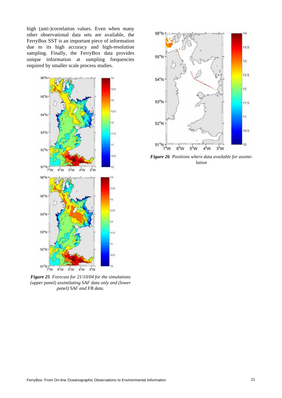high (anti-)correlation values. Even when many other observational data sets are available, the FerryBox SST is an important piece of information due to its high accuracy and high-resolution sampling. Finally, the FerryBox data provides unique information at sampling frequencies required by smaller scale process studies.



*Figure 25 Forecast for 21/10/04 for the simulations (upper panel) assimilating SAF data only and (lower panel) SAF and FB data.*



*Figure 26 Positions where data available for assimilation*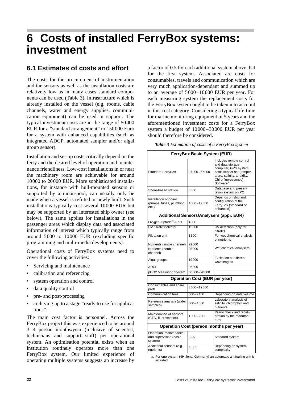### **6 Costs of installed FerryBox systems: investment**

Г

#### **6.1 Estimates of costs and effort**

The costs for the procurement of instrumentation and the sensors as well as the installation costs are relatively low as in many cases standard components can be used (Table 3). Infrastructure which is already installed on the vessel (e.g. rooms, cable channels, water and energy supplies, communication equipment) can be used in support. The typical investment costs are in the range of 50000 EUR for a "standard arrangement" to 150000 Euro for a system with enhanced capabilities (such as integrated ADCP, automated sampler and/or algal group sensor).

Installation and set-up costs critically depend on the ferry and the desired level of operation and maintenance friendliness. Low-cost installations in or near the machinery room are achievable for around 10000 to 20000 EUR. More sophisticated installations, for instance with hull-mounted sensors or supported by a moon-pool, can usually only be made when a vessel is refitted or newly built. Such installations typically cost several 10000 EUR but may be supported by an interested ship owner (see below). The same applies for installations in the passenger areas which display data and associated information of interest which typically range from around 5000 to 10000 EUR (excluding specific programming and multi-media developments).

Operational costs of FerryBox systems need to cover the following activities:

- Servicing and maintenance
- calibration and referencing
- system operation and control
- data quality control
- pre- and post-processing
- archiving up to a stage "ready to use for applications".

The main cost factor is personnel. Across the FerryBox project this was experienced to be around 3–4 person months/year (inclusive of scientist, technicians and support staff) per operational system. An optimisation potential exists when an institution routinely operates more than one FerryBox system. Our limited experience of operating multiple systems suggests an increase by a factor of 0.5 for each additional system above that for the first system. Associated are costs for consumables, travels and communication which are very much application-dependant and summed up to an average of 5000–10000 EUR per year. For each measuring system the replacement costs for the FerryBox system ought to be taken into account in this cost category. Considering a typical life-time for marine monitoring equipment of 5 years and the aforementioned investment costs for a FerryBox system a budget of 10000–30000 EUR per year should therefore be considered.

|  |  | Table 3 Estimation of costs of a FerryBox system |
|--|--|--------------------------------------------------|
|  |  |                                                  |

┑

#### **FerryBox Basic System (EUR)**

| Standard FerryBox                                           | 37000-67000                          | Includes remote control<br>and data storage<br>computer, GPS system,<br>basic sensor set (temper-<br>ature, salinity, turbidity,<br>Chl-a fluorescence),<br>Software <sup>a</sup> |
|-------------------------------------------------------------|--------------------------------------|-----------------------------------------------------------------------------------------------------------------------------------------------------------------------------------|
| Shore-based station                                         | 6500                                 | Database and presen-<br>tation system on PC                                                                                                                                       |
| Installation onboard<br>(pumps, tubes, plumbing<br>etc.)    | 4000-12000                           | Depends on ship and<br>configuration of the<br>FerryBox (standard or<br>enhanced)                                                                                                 |
|                                                             |                                      | <b>Additional Sensors/Analysers (appr. EUR)</b>                                                                                                                                   |
| Oxygen-Optode <sup>®</sup> & pH                             | 4000                                 |                                                                                                                                                                                   |
| <b>UV</b> nitrate Detector                                  | 15000                                | UV detection (only for<br>nitrate)                                                                                                                                                |
| <b>Filtration unit</b>                                      | 1500                                 | For wet chemical analysis<br>of nutrients                                                                                                                                         |
| Nutrients (single channel)                                  | 22000                                |                                                                                                                                                                                   |
| Nutrients (double<br>channel)                               | 25000                                | Wet chemical analysers                                                                                                                                                            |
| Algal groups                                                | 19000                                | <b>Excitation at different</b><br>wavelengths                                                                                                                                     |
| ADCP                                                        | 36000                                |                                                                                                                                                                                   |
| pCO2 Measuring System                                       | 60000-70000                          |                                                                                                                                                                                   |
|                                                             | <b>Operation Cost (EUR per year)</b> |                                                                                                                                                                                   |
| Consumables and spare<br>parts                              | 3000-12000                           |                                                                                                                                                                                   |
| <b>Communication fees</b>                                   | 600-2400                             | Depending on data volume                                                                                                                                                          |
| Reference analysis (water<br>samples)                       | 500-4000                             | Laboratory analysis of<br>salinity, chlorophyll and<br>nutrients                                                                                                                  |
| Maintenance of sensors<br>(CTD, fluorescence)               | 1000-2000                            | Yearly check and recali-<br>bration by the manufac-<br>turer                                                                                                                      |
|                                                             |                                      | Operation Cost (person months per year)                                                                                                                                           |
| Operation, maintenance<br>and supervision (basic<br>system) | $3 - 6$                              | Standard system                                                                                                                                                                   |
| Additional sensors (e.g.<br>nutrients)                      | $3 - 10$                             | Depending on system<br>complexity                                                                                                                                                 |

a. For one system (4H Jena, Germany) an automatic antifouling unit is included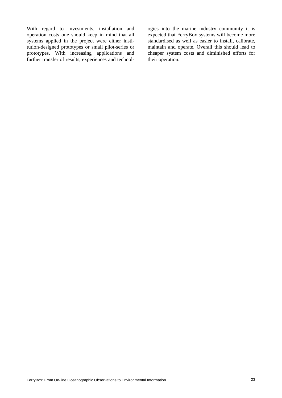With regard to investments, installation and operation costs one should keep in mind that all systems applied in the project were either institution-designed prototypes or small pilot-series or prototypes. With increasing applications and further transfer of results, experiences and technologies into the marine industry community it is expected that FerryBox systems will become more standardised as well as easier to install, calibrate, maintain and operate. Overall this should lead to cheaper system costs and diminished efforts for their operation.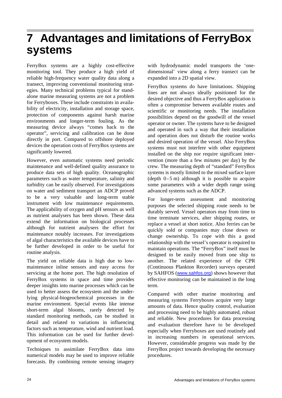### **7 Advantages and limitations of FerryBox systems**

FerryBox systems are a highly cost-effective monitoring tool. They produce a high yield of reliable high-frequency water quality data along a transect, improving conventional monitoring strategies. Many technical problems typical for standalone marine measuring systems are not a problem for Ferryboxes. These include constraints in availability of electricity, installation and storage space, protection of components against harsh marine environments and longer-term fouling. As the measuring device always "comes back to the operator", servicing and calibration can be done directly in port. Compared to offshore deployed devices the operation costs of FerryBox systems are significantly lowered.

However, even automatic systems need periodic maintenance and well-defined quality assurance to produce data sets of high quality. Oceanographic parameters such as water temperature, salinity and turbidity can be easily observed. For investigations on water and sediment transport an ADCP proved to be a very valuable and long-term stable instrument with low maintenance requirements. The applicability of oxygen and pH sensors as well as nutrient analysers has been shown. These data extend the information on biological processes although for nutrient analysers the effort for maintenance notably increases. For investigations of algal characteristics the available devices have to be further developed in order to be useful for routine analysis.

The yield on reliable data is high due to lowmaintenance inline sensors and easy access for servicing at the home port. The high resolution of FerryBox systems in space and time provides deeper insights into marine processes which can be used to better assess the ecosystem and the underlying physical-biogeochemical processes in the marine environment. Special events like intense short-term algal blooms, rarely detected by standard monitoring methods, can be studied in detail and related to variations in influencing factors such as temperature, wind and nutrient load. This information can be used for further development of ecosystem models.

Techniques to assimilate FerryBox data into numerical models may be used to improve reliable forecasts. By combining remote sensing imagery

with hydrodynamic model transports the 'onedimensional' view along a ferry transect can be expanded into a 2D spatial view.

FerryBox systems do have limitations. Shipping lines are not always ideally positioned for the desired objective and thus a FerryBox application is often a compromise between available routes and scientific or monitoring needs. The installation possibilities depend on the goodwill of the vessel operator or owner. The systems have to be designed and operated in such a way that their installation and operation does not disturb the routine works and desired operation of the vessel. Also FerryBox systems must not interfere with other equipment installed on the ship nor require significant intervention (more than a few minutes per day) by the crew. The measuring depth of "standard" FerryBox systems is mostly limited to the mixed surface layer (depth  $0-5$  m) although it is possible to acquire some parameters with a wider depth range using advanced systems such as the ADCP.

For longer-term assessment and monitoring purposes the selected shipping route needs to be durably served. Vessel operators may from time to time terminate services, alter shipping routes, or replace a vessel at short notice. Also ferries can be quickly sold or companies may close down or change ownership. To cope with this a good relationship with the vessel's operator is required to maintain operations. The "FerryBox" itself must be designed to be easily moved from one ship to another. The related experience of the CPR (Continuous Plankton Recorder) surveys operated by SAHFOS (www.sahfos.org) shows however that effective monitoring can be maintained in the long term.

Compared with other marine monitoring and measuring systems Ferryboxes acquire very large amounts of data. Hence quality control, evaluation and processing need to be highly automated, robust and reliable. New procedures for data processing and evaluation therefore have to be developed especially when Ferryboxes are used routinely and in increasing numbers in operational services. However, considerable progress was made by the FerryBox project towards developing the necessary procedures.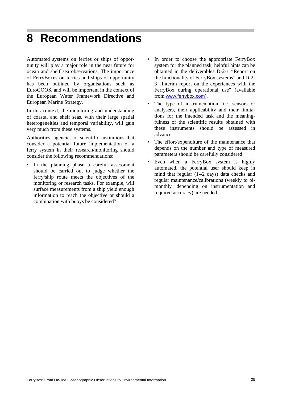### **8 Recommendations**

Automated systems on ferries or ships of opportunity will play a major role in the near future for ocean and shelf sea observations. The importance of FerryBoxes on ferries and ships of opportunity has been outlined by organisations such as EuroGOOS, and will be important in the context of the European Water Framework Directive and European Marine Strategy.

In this context, the monitoring and understanding of coastal and shelf seas, with their large spatial heterogeneities and temporal variability, will gain very much from these systems.

Authorities, agencies or scientific institutions that consider a potential future implementation of a ferry system in their research/monitoring should consider the following recommendations:

In the planning phase a careful assessment should be carried out to judge whether the ferry/ship route meets the objectives of the monitoring or research tasks. For example, will surface measurements from a ship yield enough information to reach the objective or should a combination with buoys be considered?

- In order to choose the appropriate FerryBox system for the planned task, helpful hints can be obtained in the deliverables D-2-1 "Report on the functionality of FerryBox systems" and D-2- 3 "Interim report on the experiences with the FerryBox during operational use" (available from www.ferrybox.com).
- The type of instrumentation, i.e. sensors or analysers, their applicability and their limitations for the intended task and the meaningfulness of the scientific results obtained with these instruments should be assessed in advance.
- The effort/expenditure of the maintenance that depends on the number and type of measured parameters should be carefully considered.
- Even when a FerryBox system is highly automated, the potential user should keep in mind that regular  $(1-2)$  days) data checks and regular maintenance/calibrations (weekly to bimonthly, depending on instrumentation and required accuracy) are needed.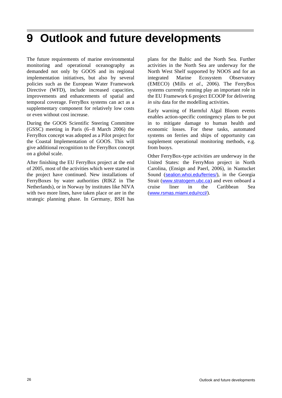### **9 Outlook and future developments**

The future requirements of marine environmental monitoring and operational oceanography as demanded not only by GOOS and its regional implementation initiatives, but also by several policies such as the European Water Framework Directive (WFD), include increased capacities, improvements and enhancements of spatial and temporal coverage. FerryBox systems can act as a supplementary component for relatively low costs or even without cost increase.

During the GOOS Scientific Steering Committee (GSSC) meeting in Paris (6–8 March 2006) the FerryBox concept was adopted as a Pilot project for the Coastal Implementation of GOOS. This will give additional recognition to the FerryBox concept on a global scale.

After finishing the EU FerryBox project at the end of 2005, most of the activities which were started in the project have continued. New installations of FerryBoxes by water authorities (RIKZ in The Netherlands), or in Norway by institutes like NIVA with two more lines, have taken place or are in the strategic planning phase. In Germany, BSH has plans for the Baltic and the North Sea. Further activities in the North Sea are underway for the North West Shelf supported by NOOS and for an integrated Marine Ecosystem Observatory (EMECO) (Mills *et al*., 2006). The FerryBox systems currently running play an important role in the EU Framework 6 project ECOOP for delivering *in situ* data for the modelling activities.

Early warning of Harmful Algal Bloom events enables action-specific contingency plans to be put in to mitigate damage to human health and economic losses. For these tasks, automated systems on ferries and ships of opportunity can supplement operational monitoring methods, e.g. from buoys.

Other FerryBox-type activities are underway in the United States: the FerryMon project in North Carolina, (Ensign and Paerl, 2006), in Nantucket Sound (sealion.whoi.edu/ferries/), in the Georgia Strait (www.stratogem.ubc.ca) and even onboard a cruise liner in the Caribbean Sea (www.rsmas.miami.edu/rccl/).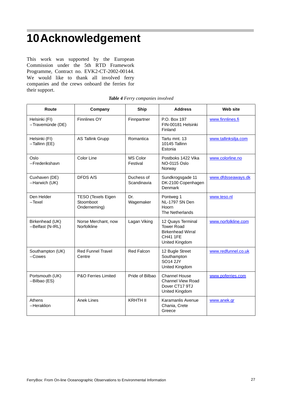### **10Acknowledgement**

This work was supported by the European Commission under the 5th RTD Framework Programme, Contract no. EVK2-CT-2002-00144. We would like to thank all involved ferry companies and the crews onboard the ferries for their support.

| Route                               | Company                                                | Ship                        | <b>Address</b>                                                                                          | <b>Web site</b>      |
|-------------------------------------|--------------------------------------------------------|-----------------------------|---------------------------------------------------------------------------------------------------------|----------------------|
| Helsinki (FI)<br>-Travemünde (DE)   | <b>Finnlines OY</b>                                    | Finnpartner                 | P.O. Box 197<br>FIN-00181 Helsinki<br>Finland                                                           | www.finnlines.fi     |
| Helsinki (FI)<br>-Tallinn (EE)      | <b>AS Tallink Grupp</b>                                | Romantica                   | Tartu mnt. 13<br>10145 Tallinn<br>Estonia                                                               | www.tallinksilja.com |
| Oslo<br>-Frederikshavn              | Color Line                                             | <b>MS Color</b><br>Festival | Postboks 1422 Vika<br>NO-0115 Oslo<br>Norway                                                            | www.colorline.no     |
| Cuxhaven (DE)<br>-Harwich (UK)      | <b>DFDS A/S</b>                                        | Duchess of<br>Scandinavia   | Sundkrogsgade 11<br>DK-2100 Copenhagen<br>Denmark                                                       | www.dfdsseaways.dk   |
| Den Helder<br>$-Texel$              | <b>TESO (Texels Eigen</b><br>Stoomboot<br>Onderneming) | Dr.<br>Wagemaker            | Pontweg 1<br>NL-1797 SN Den<br>Hoorn<br>The Netherlands                                                 | www.teso.nl          |
| Birkenhead (UK)<br>-Belfast (N-IRL) | Norse Merchant, now<br>Norfolkline                     | Lagan Viking                | 12 Quays Terminal<br><b>Tower Road</b><br><b>Birkenhead Wirral</b><br><b>CH41 1FE</b><br>United Kingdom | www.norfolkline.com  |
| Southampton (UK)<br>$-Cowes$        | <b>Red Funnel Travel</b><br>Centre                     | Red Falcon                  | 12 Bugle Street<br>Southampton<br><b>SO14 2JY</b><br>United Kingdom                                     | www.redfunnel.co.uk  |
| Portsmouth (UK)<br>-Bilbao (ES)     | <b>P&amp;O Ferries Limited</b>                         | Pride of Bilbao             | <b>Channel House</b><br><b>Channel View Road</b><br>Dover CT17 9TJ<br>United Kingdom                    | www.poferries.com    |
| Athens<br>-Heraklion                | <b>Anek Lines</b>                                      | <b>KRHTH II</b>             | Karamanlis Avenue<br>Chania, Crete<br>Greece                                                            | www.anek.gr          |

#### *Table 4 Ferry companies involved*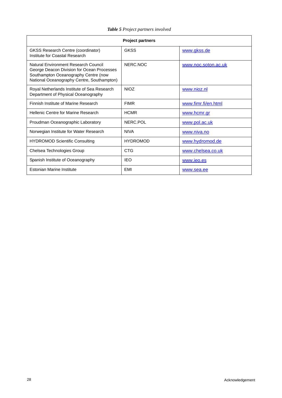| <b>Project partners</b>                                                                                                                                                  |                 |                     |  |  |
|--------------------------------------------------------------------------------------------------------------------------------------------------------------------------|-----------------|---------------------|--|--|
| <b>GKSS Research Centre (coordinator)</b><br>Institute for Coastal Research                                                                                              | <b>GKSS</b>     | www.gkss.de         |  |  |
| Natural Environment Research Council<br>George Deacon Division for Ocean Processes<br>Southampton Oceanography Centre (now<br>National Oceanography Centre, Southampton) | NERC.NOC        | www.noc.soton.ac.uk |  |  |
| Royal Netherlands Institute of Sea Research<br>Department of Physical Oceanography                                                                                       | <b>NIOZ</b>     | www.nioz.nl         |  |  |
| Finnish Institute of Marine Research                                                                                                                                     | <b>FIMR</b>     | www.fimr.fi/en.html |  |  |
| Hellenic Centre for Marine Research                                                                                                                                      | <b>HCMR</b>     | www.hcmr.gr         |  |  |
| Proudman Oceanographic Laboratory                                                                                                                                        | NERC.POL        | www.pol.ac.uk       |  |  |
| Norwegian Institute for Water Research                                                                                                                                   | <b>NIVA</b>     | www.niva.no         |  |  |
| <b>HYDROMOD Scientific Consulting</b>                                                                                                                                    | <b>HYDROMOD</b> | www.hydromod.de     |  |  |
| Chelsea Technologies Group                                                                                                                                               | CTG             | www.chelsea.co.uk   |  |  |
| Spanish Institute of Oceanography                                                                                                                                        | <b>IEO</b>      | www.ieo.es          |  |  |
| Estonian Marine Institute                                                                                                                                                | <b>FMI</b>      | www.sea.ee          |  |  |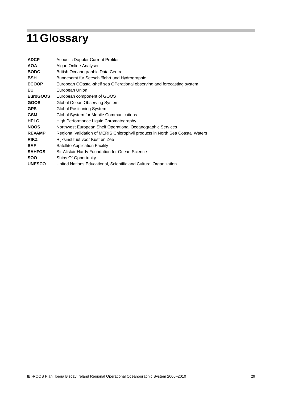# **11Glossary**

| <b>ADCP</b>   | <b>Acoustic Doppler Current Profiler</b>                                      |
|---------------|-------------------------------------------------------------------------------|
| <b>AOA</b>    | Algae Online Analyser                                                         |
| <b>BODC</b>   | <b>British Oceanographic Data Centre</b>                                      |
| <b>BSH</b>    | Bundesamt für Seeschifffahrt und Hydrographie                                 |
| <b>ECOOP</b>  | European COastal-shelf sea OPerational observing and forecasting system       |
| EU            | European Union                                                                |
| EuroGOOS      | European component of GOOS                                                    |
| <b>GOOS</b>   | Global Ocean Observing System                                                 |
| <b>GPS</b>    | <b>Global Positioning System</b>                                              |
| <b>GSM</b>    | Global System for Mobile Communications                                       |
| <b>HPLC</b>   | High Performance Liquid Chromatography                                        |
| <b>NOOS</b>   | Northwest European Shelf Operational Oceanographic Services                   |
| <b>REVAMP</b> | Regional Validation of MERIS Chlorophyll products in North Sea Coastal Waters |
| <b>RIKZ</b>   | Rijksinstituut voor Kust en Zee                                               |
| <b>SAF</b>    | <b>Satellite Application Facility</b>                                         |
| <b>SAHFOS</b> | Sir Alistair Hardy Foundation for Ocean Science                               |
| <b>SOO</b>    | Ships Of Opportunity                                                          |
| <b>UNESCO</b> | United Nations Educational, Scientific and Cultural Organization              |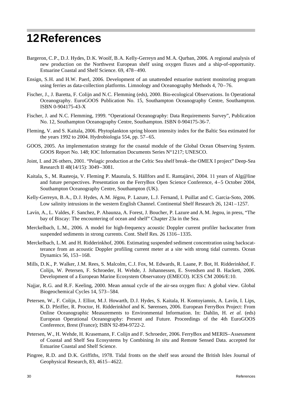### **12References**

- Bargeron, C.P., D.J. Hydes, D.K. Woolf, B.A. Kelly-Gerreyn and M.A. Qurban, 2006. A regional analysis of new production on the Northwest European shelf using oxygen fluxes and a ship-of-opportunity. Estuarine Coastal and Shelf Science. 69, 478–490.
- Ensign, S.H. and H.W. Paerl, 2006. Development of an unattended estuarine nutrient monitoring program using ferries as data-collection platforms. Limnology and Oceanography Methods 4, 70–76.
- Fischer, J., J. Baretta, F. Colijn and N.C. Flemming (eds), 2000. Bio-ecological Observations. In Operational Oceanography. EuroGOOS Publication No. 15, Southampton Oceanography Centre, Southampton. ISBN 0-904175-43-X
- Fischer, J. and N.C. Flemming, 1999. "Operational Oceanography: Data Requirements Survey", Publication No. 12, Southampton Oceanography Centre, Southampton. ISBN 0-904175-36-7.
- Fleming, V. and S. Kaitala, 2006. Phytoplankton spring bloom intensity index for the Baltic Sea estimated for the years 1992 to 2004. Hydrobiologia 554, pp. 57–65.
- GOOS, 2005. An implementation strategy for the coastal module of the Global Ocean Observing System. GOOS Report No. 148; IOC Information Documents Series N°1217; UNESCO.
- Joint, I. and 26 others, 2001. "Pelagic production at the Celtic Sea shelf break–the OMEX I project" Deep-Sea Research II 48(14/15): 3049–3081.
- Kaitala, S., M. Raateoja, V. Fleming P. Maunula, S. Hällfors and E. Rantajärvi, 2004. 11 years of Alg@line and future perspectives. Presentation on the FerryBox Open Science Conference, 4–5 October 2004, Southampton Oceanography Centre, Southampton (UK).
- Kelly-Gerreyn, B.A., D.J. Hydes, A.M. Jégou, P. Lazure, L.J. Fernand, I. Puillat and C. Garcia-Soto, 2006. Low salinity intrusions in the western English Channel. Continental Shelf Research 26, 1241–1257.
- Lavín, A., L. Valdes, F. Sanchez, P. Abaunza, A. Forest, J. Boucher, P. Lazure and A.M. Jegou, in press, "The bay of Biscay: The encountering of ocean and shelf" Chapter 23a in the Sea.
- Merckelbach, L.M., 2006. A model for high-frequency acoustic Doppler current profiler backscatter from suspended sediments in strong currents. Cont. Shelf Res. 26 1316–1335.
- Merckelbach, L.M. and H. Ridderinkhof, 2006. Estimating suspended sediment concentration using backscatterance from an acoustic Doppler profiling current meter at a site with strong tidal currents. Ocean Dynamics 56, 153–168.
- Mills, D.K., P. Walker, J.M. Rees, S. Malcolm, C.J. Fox, M. Edwards, R. Laane, P. Bot, H. Ridderinkhof, F. Colijn, W. Petersen, F. Schroeder, H. Wehde, J. Johannessen, E. Svendsen and B. Hackett, 2006. Development of a European Marine Ecosystem Observatory (EMECO). ICES CM 2006/E:10.
- Najjar, R.G. and R.F. Keeling, 2000. Mean annual cycle of the air-sea oxygen flux: A global view. Global Biogeochemical Cycles 14, 573–584.
- Petersen, W., F. Colijn, J. Elliot, M.J. Howarth, D.J. Hydes, S. Kaitala, H. Kontoyiannis, A. Lavín, I. Lips, K.D. Pfeiffer, R. Proctor, H. Ridderinkhof and K. Sørensen, 2006. European FerryBox Project: From Online Oceanographic Measurements to Environmental Information. In: Dahlin, H. *et al.* (eds) European Operational Oceanography: Present and Future. Proceedings of the 4th EuroGOOS Conference, Brest (France); ISBN 92-894-9722-2.
- Petersen, W., H. Wehde, H. Krasemann, F. Colijn and F. Schroeder, 2006. FerryBox and MERIS–Assessment of Coastal and Shelf Sea Ecosystems by Combining *In situ* and Remote Sensed Data. accepted for Estuarine Coastal and Shelf Science.
- Pingree, R.D. and D.K. Griffiths, 1978. Tidal fronts on the shelf seas around the British Isles Journal of Geophysical Research, 83, 4615–4622.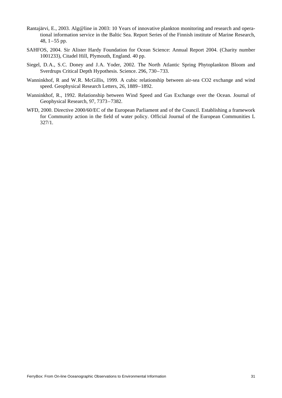- Rantajärvi, E., 2003. Alg@line in 2003: 10 Years of innovative plankton monitoring and research and operational information service in the Baltic Sea. Report Series of the Finnish institute of Marine Research, 48, 1–55 pp.
- SAHFOS, 2004. Sir Alister Hardy Foundation for Ocean Science: Annual Report 2004. (Charity number 1001233), Citadel Hill, Plymouth, England. 40 pp.
- Siegel, D.A., S.C. Doney and J.A. Yoder, 2002. The North Atlantic Spring Phytoplankton Bloom and Sverdrups Critical Depth Hypothesis. Science. 296, 730–733.
- Wanninkhof, R and W.R. McGillis, 1999. A cubic relationship between air-sea CO2 exchange and wind speed. Geophysical Research Letters, 26, 1889–1892.
- Wanninkhof, R., 1992. Relationship between Wind Speed and Gas Exchange over the Ocean. Journal of Geophysical Research, 97, 7373–7382.
- WFD, 2000. Directive 2000/60/EC of the European Parliament and of the Council. Establishing a framework for Community action in the field of water policy. Official Journal of the European Communities L 327/1.